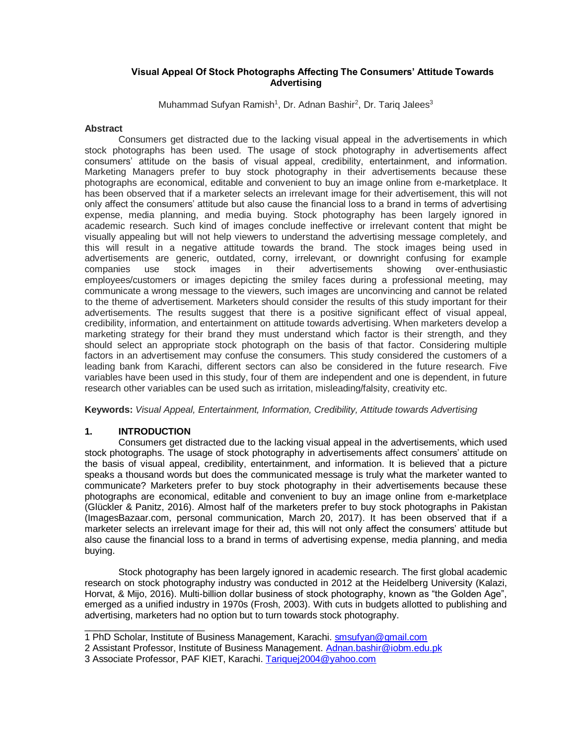Muhammad Sufyan Ramish<sup>1</sup>, Dr. Adnan Bashir<sup>2</sup>, Dr. Tariq Jalees<sup>3</sup>

#### **Abstract**

Consumers get distracted due to the lacking visual appeal in the advertisements in which stock photographs has been used. The usage of stock photography in advertisements affect consumers' attitude on the basis of visual appeal, credibility, entertainment, and information. Marketing Managers prefer to buy stock photography in their advertisements because these photographs are economical, editable and convenient to buy an image online from e-marketplace. It has been observed that if a marketer selects an irrelevant image for their advertisement, this will not only affect the consumers' attitude but also cause the financial loss to a brand in terms of advertising expense, media planning, and media buying. Stock photography has been largely ignored in academic research. Such kind of images conclude ineffective or irrelevant content that might be visually appealing but will not help viewers to understand the advertising message completely, and this will result in a negative attitude towards the brand. The stock images being used in advertisements are generic, outdated, corny, irrelevant, or downright confusing for example companies use stock images in their advertisements showing over-enthusiastic employees/customers or images depicting the smiley faces during a professional meeting, may communicate a wrong message to the viewers, such images are unconvincing and cannot be related to the theme of advertisement. Marketers should consider the results of this study important for their advertisements. The results suggest that there is a positive significant effect of visual appeal, credibility, information, and entertainment on attitude towards advertising. When marketers develop a marketing strategy for their brand they must understand which factor is their strength, and they should select an appropriate stock photograph on the basis of that factor. Considering multiple factors in an advertisement may confuse the consumers. This study considered the customers of a leading bank from Karachi, different sectors can also be considered in the future research. Five variables have been used in this study, four of them are independent and one is dependent, in future research other variables can be used such as irritation, misleading/falsity, creativity etc.

**Keywords:** *Visual Appeal, Entertainment, Information, Credibility, Attitude towards Advertising*

#### **1. INTRODUCTION**

\_\_\_\_\_\_\_\_\_\_\_\_\_\_\_\_\_\_\_\_\_\_\_

Consumers get distracted due to the lacking visual appeal in the advertisements, which used stock photographs. The usage of stock photography in advertisements affect consumers' attitude on the basis of visual appeal, credibility, entertainment, and information. It is believed that a picture speaks a thousand words but does the communicated message is truly what the marketer wanted to communicate? Marketers prefer to buy stock photography in their advertisements because these photographs are economical, editable and convenient to buy an image online from e-marketplace (Glückler & Panitz, 2016). Almost half of the marketers prefer to buy stock photographs in Pakistan (ImagesBazaar.com, personal communication, March 20, 2017). It has been observed that if a marketer selects an irrelevant image for their ad, this will not only affect the consumers' attitude but also cause the financial loss to a brand in terms of advertising expense, media planning, and media buying.

Stock photography has been largely ignored in academic research. The first global academic research on stock photography industry was conducted in 2012 at the Heidelberg University (Kalazi, Horvat, & Mijo, 2016). Multi-billion dollar business of stock photography, known as "the Golden Age", emerged as a unified industry in 1970s (Frosh, 2003). With cuts in budgets allotted to publishing and advertising, marketers had no option but to turn towards stock photography.

<sup>1</sup> PhD Scholar, Institute of Business Management, Karachi. **smsufyan@gmail.com** 

<sup>2</sup> Assistant Professor, Institute of Business Management. [Adnan.bashir@iobm.edu.pk](mailto:Adnan.bashir@iobm.edu.pk)

<sup>3</sup> Associate Professor, PAF KIET, Karachi. [Tariquej2004@yahoo.com](mailto:Tariquej2004@yahoo.com)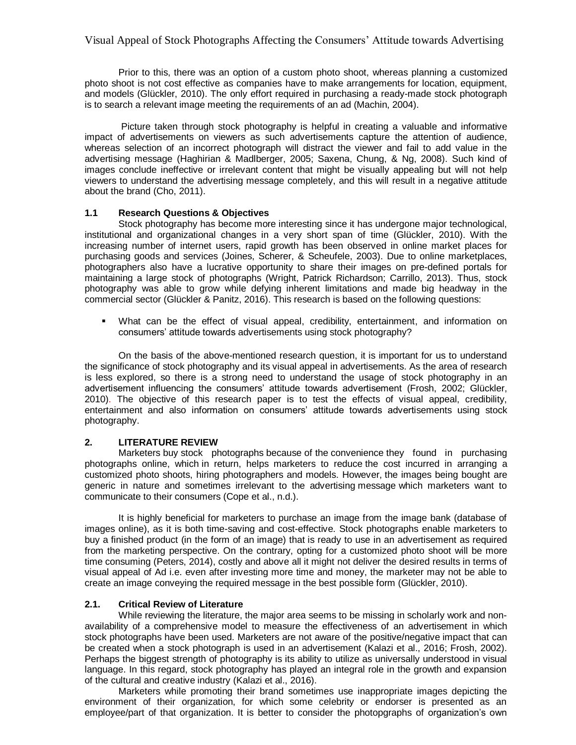Prior to this, there was an option of a custom photo shoot, whereas planning a customized photo shoot is not cost effective as companies have to make arrangements for location, equipment, and models (Glückler, 2010). The only effort required in purchasing a ready-made stock photograph is to search a relevant image meeting the requirements of an ad (Machin, 2004).

Picture taken through stock photography is helpful in creating a valuable and informative impact of advertisements on viewers as such advertisements capture the attention of audience, whereas selection of an incorrect photograph will distract the viewer and fail to add value in the advertising message (Haghirian & Madlberger, 2005; Saxena, Chung, & Ng, 2008). Such kind of images conclude ineffective or irrelevant content that might be visually appealing but will not help viewers to understand the advertising message completely, and this will result in a negative attitude about the brand (Cho, 2011).

### **1.1 Research Questions & Objectives**

Stock photography has become more interesting since it has undergone major technological, institutional and organizational changes in a very short span of time (Glückler, 2010). With the increasing number of internet users, rapid growth has been observed in online market places for purchasing goods and services (Joines, Scherer, & Scheufele, 2003). Due to online marketplaces, photographers also have a lucrative opportunity to share their images on pre-defined portals for maintaining a large stock of photographs (Wright, Patrick Richardson; Carrillo, 2013). Thus, stock photography was able to grow while defying inherent limitations and made big headway in the commercial sector (Glückler & Panitz, 2016). This research is based on the following questions:

 What can be the effect of visual appeal, credibility, entertainment, and information on consumers' attitude towards advertisements using stock photography?

On the basis of the above-mentioned research question, it is important for us to understand the significance of stock photography and its visual appeal in advertisements. As the area of research is less explored, so there is a strong need to understand the usage of stock photography in an advertisement influencing the consumers' attitude towards advertisement (Frosh, 2002; Glückler, 2010). The objective of this research paper is to test the effects of visual appeal, credibility, entertainment and also information on consumers' attitude towards advertisements using stock photography.

# **2. LITERATURE REVIEW**

Marketers buy stock photographs because of the convenience they found in purchasing photographs online, which in return, helps marketers to reduce the cost incurred in arranging a customized photo shoots, hiring photographers and models. However, the images being bought are generic in nature and sometimes irrelevant to the advertising message which marketers want to communicate to their consumers (Cope et al., n.d.).

It is highly beneficial for marketers to purchase an image from the image bank (database of images online), as it is both time-saving and cost-effective. Stock photographs enable marketers to buy a finished product (in the form of an image) that is ready to use in an advertisement as required from the marketing perspective. On the contrary, opting for a customized photo shoot will be more time consuming (Peters, 2014), costly and above all it might not deliver the desired results in terms of visual appeal of Ad i.e. even after investing more time and money, the marketer may not be able to create an image conveying the required message in the best possible form (Glückler, 2010).

# **2.1. Critical Review of Literature**

While reviewing the literature, the major area seems to be missing in scholarly work and nonavailability of a comprehensive model to measure the effectiveness of an advertisement in which stock photographs have been used. Marketers are not aware of the positive/negative impact that can be created when a stock photograph is used in an advertisement (Kalazi et al., 2016; Frosh, 2002). Perhaps the biggest strength of photography is its ability to utilize as universally understood in visual language. In this regard, stock photography has played an integral role in the growth and expansion of the cultural and creative industry (Kalazi et al., 2016).

Marketers while promoting their brand sometimes use inappropriate images depicting the environment of their organization, for which some celebrity or endorser is presented as an employee/part of that organization. It is better to consider the photopgraphs of organization's own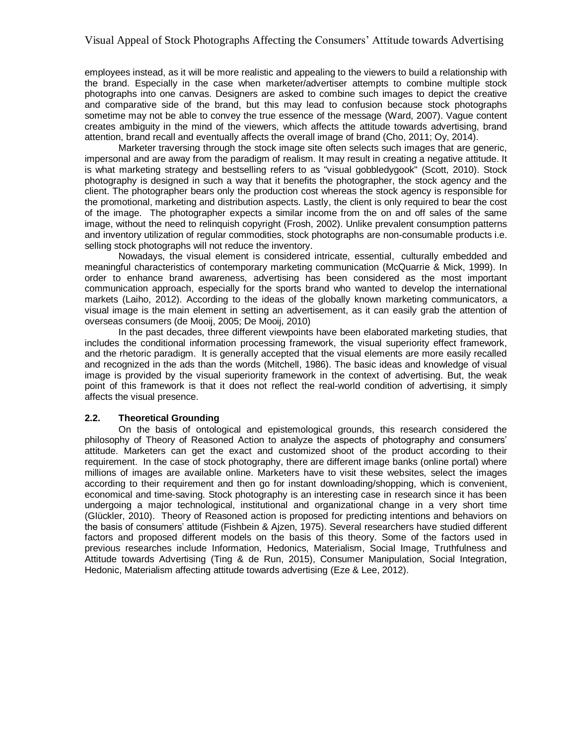employees instead, as it will be more realistic and appealing to the viewers to build a relationship with the brand. Especially in the case when marketer/advertiser attempts to combine multiple stock photographs into one canvas. Designers are asked to combine such images to depict the creative and comparative side of the brand, but this may lead to confusion because stock photographs sometime may not be able to convey the true essence of the message (Ward, 2007). Vague content creates ambiguity in the mind of the viewers, which affects the attitude towards advertising, brand attention, brand recall and eventually affects the overall image of brand (Cho, 2011; Oy, 2014).

Marketer traversing through the stock image site often selects such images that are generic, impersonal and are away from the paradigm of realism. It may result in creating a negative attitude. It is what marketing strategy and bestselling refers to as "visual gobbledygook" (Scott, 2010). Stock photography is designed in such a way that it benefits the photographer, the stock agency and the client. The photographer bears only the production cost whereas the stock agency is responsible for the promotional, marketing and distribution aspects. Lastly, the client is only required to bear the cost of the image. The photographer expects a similar income from the on and off sales of the same image, without the need to relinquish copyright (Frosh, 2002). Unlike prevalent consumption patterns and inventory utilization of regular commodities, stock photographs are non-consumable products i.e. selling stock photographs will not reduce the inventory.

Nowadays, the visual element is considered intricate, essential, culturally embedded and meaningful characteristics of contemporary marketing communication (McQuarrie & Mick, 1999). In order to enhance brand awareness, advertising has been considered as the most important communication approach, especially for the sports brand who wanted to develop the international markets (Laiho, 2012). According to the ideas of the globally known marketing communicators, a visual image is the main element in setting an advertisement, as it can easily grab the attention of overseas consumers (de Mooij, 2005; De Mooij, 2010)

In the past decades, three different viewpoints have been elaborated marketing studies, that includes the conditional information processing framework, the visual superiority effect framework, and the rhetoric paradigm. It is generally accepted that the visual elements are more easily recalled and recognized in the ads than the words (Mitchell, 1986). The basic ideas and knowledge of visual image is provided by the visual superiority framework in the context of advertising. But, the weak point of this framework is that it does not reflect the real-world condition of advertising, it simply affects the visual presence.

# **2.2. Theoretical Grounding**

On the basis of ontological and epistemological grounds, this research considered the philosophy of Theory of Reasoned Action to analyze the aspects of photography and consumers' attitude. Marketers can get the exact and customized shoot of the product according to their requirement. In the case of stock photography, there are different image banks (online portal) where millions of images are available online. Marketers have to visit these websites, select the images according to their requirement and then go for instant downloading/shopping, which is convenient, economical and time-saving. Stock photography is an interesting case in research since it has been undergoing a major technological, institutional and organizational change in a very short time (Glückler, 2010). Theory of Reasoned action is proposed for predicting intentions and behaviors on the basis of consumers' attitude (Fishbein & Ajzen, 1975). Several researchers have studied different factors and proposed different models on the basis of this theory. Some of the factors used in previous researches include Information, Hedonics, Materialism, Social Image, Truthfulness and Attitude towards Advertising (Ting & de Run, 2015), Consumer Manipulation, Social Integration, Hedonic, Materialism affecting attitude towards advertising (Eze & Lee, 2012).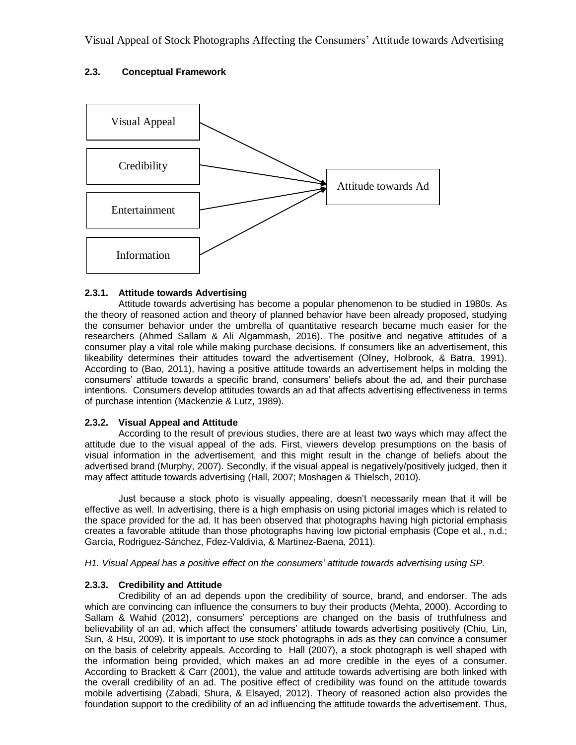# **2.3. Conceptual Framework**



# **2.3.1. Attitude towards Advertising**

Attitude towards advertising has become a popular phenomenon to be studied in 1980s. As the theory of reasoned action and theory of planned behavior have been already proposed, studying the consumer behavior under the umbrella of quantitative research became much easier for the researchers (Ahmed Sallam & Ali Algammash, 2016). The positive and negative attitudes of a consumer play a vital role while making purchase decisions. If consumers like an advertisement, this likeability determines their attitudes toward the advertisement (Olney, Holbrook, & Batra, 1991). According to (Bao, 2011), having a positive attitude towards an advertisement helps in molding the consumers' attitude towards a specific brand, consumers' beliefs about the ad, and their purchase intentions. Consumers develop attitudes towards an ad that affects advertising effectiveness in terms of purchase intention (Mackenzie & Lutz, 1989).

#### **2.3.2. Visual Appeal and Attitude**

According to the result of previous studies, there are at least two ways which may affect the attitude due to the visual appeal of the ads. First, viewers develop presumptions on the basis of visual information in the advertisement, and this might result in the change of beliefs about the advertised brand (Murphy, 2007). Secondly, if the visual appeal is negatively/positively judged, then it may affect attitude towards advertising (Hall, 2007; Moshagen & Thielsch, 2010).

Just because a stock photo is visually appealing, doesn't necessarily mean that it will be effective as well. In advertising, there is a high emphasis on using pictorial images which is related to the space provided for the ad. It has been observed that photographs having high pictorial emphasis creates a favorable attitude than those photographs having low pictorial emphasis (Cope et al., n.d.; García, Rodriguez-Sánchez, Fdez-Valdivia, & Martinez-Baena, 2011).

*H1. Visual Appeal has a positive effect on the consumers' attitude towards advertising using SP.*

# **2.3.3. Credibility and Attitude**

Credibility of an ad depends upon the credibility of source, brand, and endorser. The ads which are convincing can influence the consumers to buy their products (Mehta, 2000). According to Sallam & Wahid (2012), consumers' perceptions are changed on the basis of truthfulness and believability of an ad, which affect the consumers' attitude towards advertising positively (Chiu, Lin, Sun, & Hsu, 2009). It is important to use stock photographs in ads as they can convince a consumer on the basis of celebrity appeals. According to Hall (2007), a stock photograph is well shaped with the information being provided, which makes an ad more credible in the eyes of a consumer. According to Brackett & Carr (2001), the value and attitude towards advertising are both linked with the overall credibility of an ad. The positive effect of credibility was found on the attitude towards mobile advertising (Zabadi, Shura, & Elsayed, 2012). Theory of reasoned action also provides the foundation support to the credibility of an ad influencing the attitude towards the advertisement. Thus,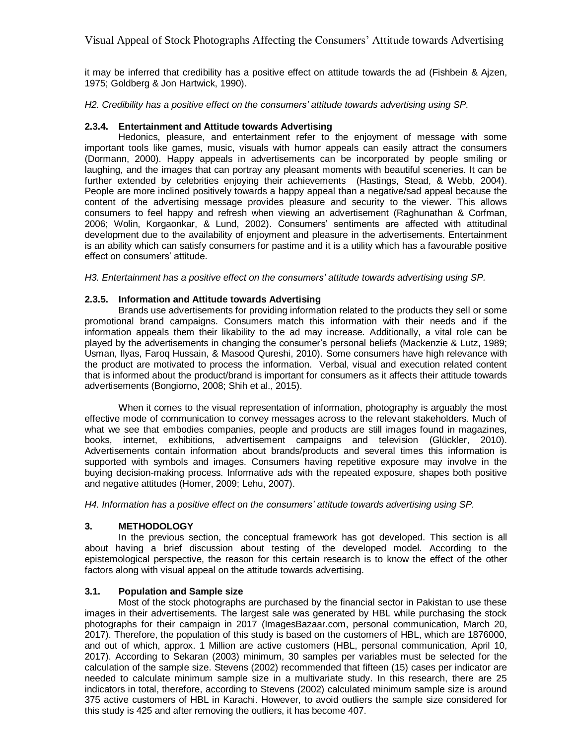it may be inferred that credibility has a positive effect on attitude towards the ad (Fishbein & Ajzen, 1975; Goldberg & Jon Hartwick, 1990).

*H2. Credibility has a positive effect on the consumers' attitude towards advertising using SP.*

### **2.3.4. Entertainment and Attitude towards Advertising**

Hedonics, pleasure, and entertainment refer to the enjoyment of message with some important tools like games, music, visuals with humor appeals can easily attract the consumers (Dormann, 2000). Happy appeals in advertisements can be incorporated by people smiling or laughing, and the images that can portray any pleasant moments with beautiful sceneries. It can be further extended by celebrities enjoying their achievements (Hastings, Stead, & Webb, 2004). People are more inclined positively towards a happy appeal than a negative/sad appeal because the content of the advertising message provides pleasure and security to the viewer. This allows consumers to feel happy and refresh when viewing an advertisement (Raghunathan & Corfman, 2006; Wolin, Korgaonkar, & Lund, 2002). Consumers' sentiments are affected with attitudinal development due to the availability of enjoyment and pleasure in the advertisements. Entertainment is an ability which can satisfy consumers for pastime and it is a utility which has a favourable positive effect on consumers' attitude.

*H3. Entertainment has a positive effect on the consumers' attitude towards advertising using SP.*

# **2.3.5. Information and Attitude towards Advertising**

Brands use advertisements for providing information related to the products they sell or some promotional brand campaigns. Consumers match this information with their needs and if the information appeals them their likability to the ad may increase. Additionally, a vital role can be played by the advertisements in changing the consumer's personal beliefs (Mackenzie & Lutz, 1989; Usman, Ilyas, Faroq Hussain, & Masood Qureshi, 2010). Some consumers have high relevance with the product are motivated to process the information. Verbal, visual and execution related content that is informed about the product/brand is important for consumers as it affects their attitude towards advertisements (Bongiorno, 2008; Shih et al., 2015).

When it comes to the visual representation of information, photography is arguably the most effective mode of communication to convey messages across to the relevant stakeholders. Much of what we see that embodies companies, people and products are still images found in magazines, books, internet, exhibitions, advertisement campaigns and television (Glückler, 2010). Advertisements contain information about brands/products and several times this information is supported with symbols and images. Consumers having repetitive exposure may involve in the buying decision-making process. Informative ads with the repeated exposure, shapes both positive and negative attitudes (Homer, 2009; Lehu, 2007).

*H4. Information has a positive effect on the consumers' attitude towards advertising using SP.*

# **3. METHODOLOGY**

In the previous section, the conceptual framework has got developed. This section is all about having a brief discussion about testing of the developed model. According to the epistemological perspective, the reason for this certain research is to know the effect of the other factors along with visual appeal on the attitude towards advertising.

# **3.1. Population and Sample size**

Most of the stock photographs are purchased by the financial sector in Pakistan to use these images in their advertisements. The largest sale was generated by HBL while purchasing the stock photographs for their campaign in 2017 (ImagesBazaar.com, personal communication, March 20, 2017). Therefore, the population of this study is based on the customers of HBL, which are 1876000, and out of which, approx. 1 Million are active customers (HBL, personal communication, April 10, 2017). According to Sekaran (2003) minimum, 30 samples per variables must be selected for the calculation of the sample size. Stevens (2002) recommended that fifteen (15) cases per indicator are needed to calculate minimum sample size in a multivariate study. In this research, there are 25 indicators in total, therefore, according to Stevens (2002) calculated minimum sample size is around 375 active customers of HBL in Karachi. However, to avoid outliers the sample size considered for this study is 425 and after removing the outliers, it has become 407.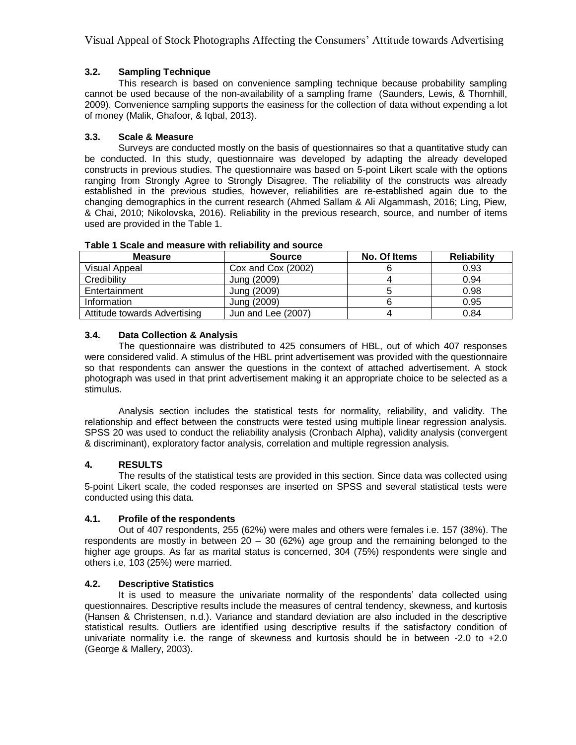# **3.2. Sampling Technique**

This research is based on convenience sampling technique because probability sampling cannot be used because of the non-availability of a sampling frame (Saunders, Lewis, & Thornhill, 2009). Convenience sampling supports the easiness for the collection of data without expending a lot of money (Malik, Ghafoor, & Iqbal, 2013).

# **3.3. Scale & Measure**

Surveys are conducted mostly on the basis of questionnaires so that a quantitative study can be conducted. In this study, questionnaire was developed by adapting the already developed constructs in previous studies. The questionnaire was based on 5-point Likert scale with the options ranging from Strongly Agree to Strongly Disagree. The reliability of the constructs was already established in the previous studies, however, reliabilities are re-established again due to the changing demographics in the current research (Ahmed Sallam & Ali Algammash, 2016; Ling, Piew, & Chai, 2010; Nikolovska, 2016). Reliability in the previous research, source, and number of items used are provided in the Table 1.

| <b>Measure</b>               | <b>Source</b>        | No. Of Items | <b>Reliability</b> |
|------------------------------|----------------------|--------------|--------------------|
| Visual Appeal                | Cox and Cox $(2002)$ |              | 0.93               |
| Credibility                  | Jung (2009)          |              | 0.94               |
| Entertainment                | Jung (2009)          |              | 0.98               |
| Information                  | Jung (2009)          |              | 0.95               |
| Attitude towards Advertising | Jun and Lee (2007)   |              | 0.84               |

|  | Table 1 Scale and measure with reliability and source |  |
|--|-------------------------------------------------------|--|
|  |                                                       |  |

# **3.4. Data Collection & Analysis**

The questionnaire was distributed to 425 consumers of HBL, out of which 407 responses were considered valid. A stimulus of the HBL print advertisement was provided with the questionnaire so that respondents can answer the questions in the context of attached advertisement. A stock photograph was used in that print advertisement making it an appropriate choice to be selected as a stimulus.

Analysis section includes the statistical tests for normality, reliability, and validity. The relationship and effect between the constructs were tested using multiple linear regression analysis. SPSS 20 was used to conduct the reliability analysis (Cronbach Alpha), validity analysis (convergent & discriminant), exploratory factor analysis, correlation and multiple regression analysis.

# **4. RESULTS**

The results of the statistical tests are provided in this section. Since data was collected using 5-point Likert scale, the coded responses are inserted on SPSS and several statistical tests were conducted using this data.

# **4.1. Profile of the respondents**

Out of 407 respondents, 255 (62%) were males and others were females i.e. 157 (38%). The respondents are mostly in between  $20 - 30$  (62%) age group and the remaining belonged to the higher age groups. As far as marital status is concerned, 304 (75%) respondents were single and others i,e, 103 (25%) were married.

# **4.2. Descriptive Statistics**

It is used to measure the univariate normality of the respondents' data collected using questionnaires. Descriptive results include the measures of central tendency, skewness, and kurtosis (Hansen & Christensen, n.d.). Variance and standard deviation are also included in the descriptive statistical results. Outliers are identified using descriptive results if the satisfactory condition of univariate normality i.e. the range of skewness and kurtosis should be in between -2.0 to +2.0 (George & Mallery, 2003).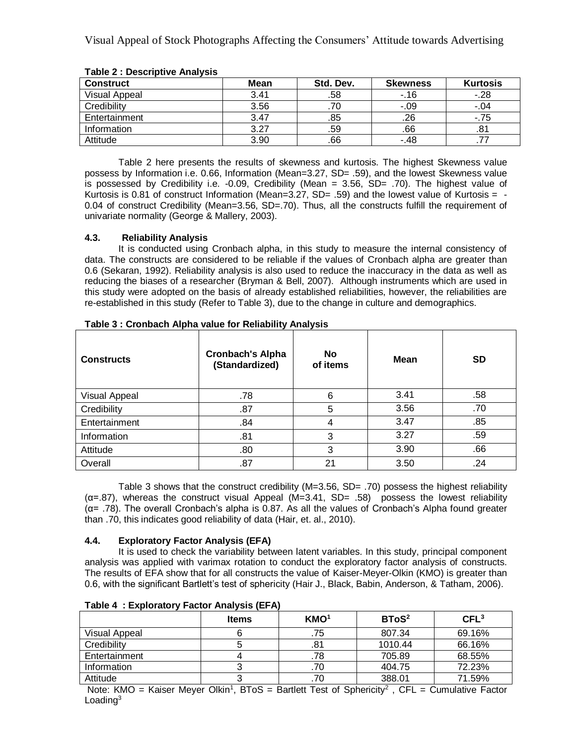| <b>Construct</b> | <b>Mean</b> | Std. Dev. | <b>Skewness</b> | <b>Kurtosis</b> |
|------------------|-------------|-----------|-----------------|-----------------|
| Visual Appeal    | 3.41        | .58       | $-16$           | $-28$           |
| Credibility      | 3.56        |           | $-.09$          | $-.04$          |
| Entertainment    | 3.47        | .85       | .26             | $-.75$          |
| Information      | 3.27        | .59       | .66             | .81             |
| Attitude         | 3.90        | .66       | -.48            |                 |

### **Table 2 : Descriptive Analysis**

Table 2 here presents the results of skewness and kurtosis. The highest Skewness value possess by Information i.e. 0.66, Information (Mean=3.27, SD= .59), and the lowest Skewness value is possessed by Credibility i.e.  $-0.09$ . Credibility (Mean  $= 3.56$ , SD $= .70$ ). The highest value of Kurtosis is 0.81 of construct Information (Mean=3.27, SD= .59) and the lowest value of Kurtosis =  $-$ 0.04 of construct Credibility (Mean=3.56, SD=.70). Thus, all the constructs fulfill the requirement of univariate normality (George & Mallery, 2003).

# **4.3. Reliability Analysis**

It is conducted using Cronbach alpha, in this study to measure the internal consistency of data. The constructs are considered to be reliable if the values of Cronbach alpha are greater than 0.6 (Sekaran, 1992). Reliability analysis is also used to reduce the inaccuracy in the data as well as reducing the biases of a researcher (Bryman & Bell, 2007). Although instruments which are used in this study were adopted on the basis of already established reliabilities, however, the reliabilities are re-established in this study (Refer to Table 3), due to the change in culture and demographics.

| <b>Constructs</b> | <b>Cronbach's Alpha</b><br>(Standardized) | No<br>of items | Mean | <b>SD</b> |
|-------------------|-------------------------------------------|----------------|------|-----------|
| Visual Appeal     | .78                                       | 6              | 3.41 | .58       |
| Credibility       | .87                                       | 5              | 3.56 | .70       |
| Entertainment     | .84                                       | 4              | 3.47 | .85       |
| Information       | .81                                       | 3              | 3.27 | .59       |
| Attitude          | .80                                       | 3              | 3.90 | .66       |
| Overall           | .87                                       | 21             | 3.50 | .24       |

#### **Table 3 : Cronbach Alpha value for Reliability Analysis**

Table 3 shows that the construct credibility (M=3.56, SD= .70) possess the highest reliability (α=.87), whereas the construct visual Appeal (M=3.41, SD= .58) possess the lowest reliability  $(a= .78)$ . The overall Cronbach's alpha is 0.87. As all the values of Cronbach's Alpha found greater than .70, this indicates good reliability of data (Hair, et. al., 2010).

# **4.4. Exploratory Factor Analysis (EFA)**

It is used to check the variability between latent variables. In this study, principal component analysis was applied with varimax rotation to conduct the exploratory factor analysis of constructs. The results of EFA show that for all constructs the value of Kaiser-Meyer-Olkin (KMO) is greater than 0.6, with the significant Bartlett's test of sphericity (Hair J., Black, Babin, Anderson, & Tatham, 2006).

|                      | <b>Items</b> | KMO <sup>1</sup> | BToS <sup>2</sup> | CFL <sup>3</sup> |
|----------------------|--------------|------------------|-------------------|------------------|
| <b>Visual Appeal</b> |              | .75              | 807.34            | 69.16%           |
| Credibility          |              | .81              | 1010.44           | 66.16%           |
| Entertainment        |              | .78              | 705.89            | 68.55%           |
| Information          |              | .70              | 404.75            | 72.23%           |
| Attitude             |              | .70              | 388.01            | 71.59%           |

**Table 4 : Exploratory Factor Analysis (EFA)**

Note: KMO = Kaiser Meyer Olkin<sup>1</sup>, BToS = Bartlett Test of Sphericity<sup>2</sup>, CFL = Cumulative Factor  $Loadina<sup>3</sup>$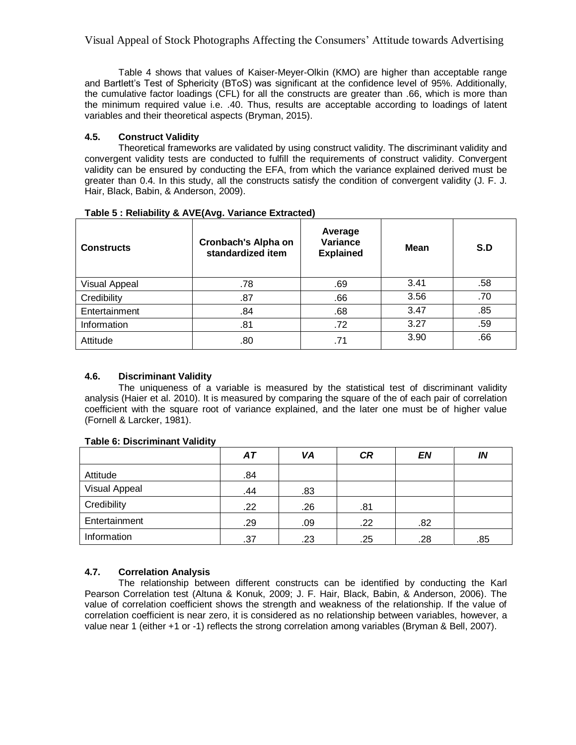Table 4 shows that values of Kaiser-Meyer-Olkin (KMO) are higher than acceptable range and Bartlett's Test of Sphericity (BToS) was significant at the confidence level of 95%. Additionally, the cumulative factor loadings (CFL) for all the constructs are greater than .66, which is more than the minimum required value i.e. .40. Thus, results are acceptable according to loadings of latent variables and their theoretical aspects (Bryman, 2015).

### **4.5. Construct Validity**

Theoretical frameworks are validated by using construct validity. The discriminant validity and convergent validity tests are conducted to fulfill the requirements of construct validity. Convergent validity can be ensured by conducting the EFA, from which the variance explained derived must be greater than 0.4. In this study, all the constructs satisfy the condition of convergent validity (J. F. J. Hair, Black, Babin, & Anderson, 2009).

| <b>Constructs</b>    | <b>Cronbach's Alpha on</b><br>standardized item | Average<br><b>Variance</b><br><b>Explained</b> | <b>Mean</b> | S.D |
|----------------------|-------------------------------------------------|------------------------------------------------|-------------|-----|
| <b>Visual Appeal</b> | .78                                             | .69                                            | 3.41        | .58 |
| Credibility          | .87                                             | .66                                            | 3.56        | .70 |
| Entertainment        | .84                                             | .68                                            | 3.47        | .85 |
| Information          | .81                                             | .72                                            | 3.27        | .59 |
| Attitude             | .80                                             | .71                                            | 3.90        | .66 |

### **Table 5 : Reliability & AVE(Avg. Variance Extracted)**

# **4.6. Discriminant Validity**

The uniqueness of a variable is measured by the statistical test of discriminant validity analysis (Haier et al. 2010). It is measured by comparing the square of the of each pair of correlation coefficient with the square root of variance explained, and the later one must be of higher value (Fornell & Larcker, 1981).

|               | AΤ  | VA  | <b>CR</b> | EN  | IN  |
|---------------|-----|-----|-----------|-----|-----|
| Attitude      | .84 |     |           |     |     |
| Visual Appeal | .44 | .83 |           |     |     |
| Credibility   | .22 | .26 | .81       |     |     |
| Entertainment | .29 | .09 | .22       | .82 |     |
| Information   | .37 | .23 | .25       | .28 | .85 |

#### **Table 6: Discriminant Validity**

# **4.7. Correlation Analysis**

The relationship between different constructs can be identified by conducting the Karl Pearson Correlation test (Altuna & Konuk, 2009; J. F. Hair, Black, Babin, & Anderson, 2006). The value of correlation coefficient shows the strength and weakness of the relationship. If the value of correlation coefficient is near zero, it is considered as no relationship between variables, however, a value near 1 (either +1 or -1) reflects the strong correlation among variables (Bryman & Bell, 2007).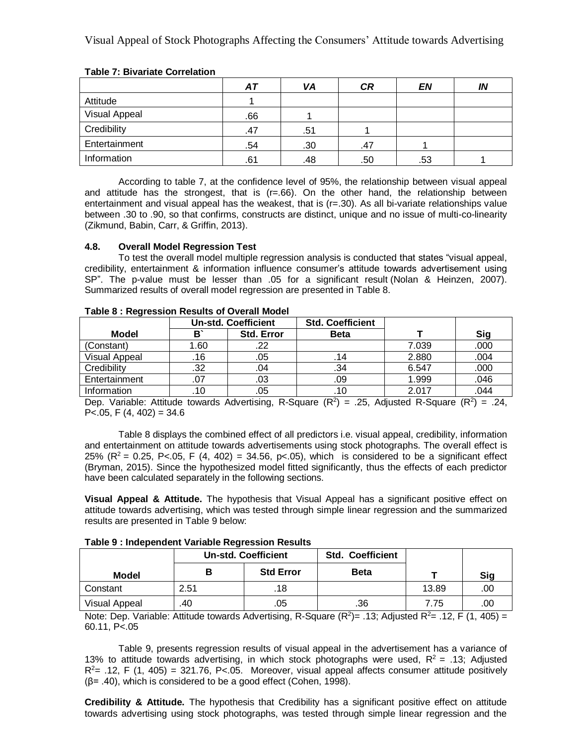|               | AΤ  | VA  | <b>CR</b> | EN  | IN |
|---------------|-----|-----|-----------|-----|----|
| Attitude      |     |     |           |     |    |
| Visual Appeal | .66 |     |           |     |    |
| Credibility   | .47 | .51 |           |     |    |
| Entertainment | .54 | .30 | .47       |     |    |
| Information   | .61 | .48 | .50       | .53 |    |

### **Table 7: Bivariate Correlation**

According to table 7, at the confidence level of 95%, the relationship between visual appeal and attitude has the strongest, that is  $(r=.66)$ . On the other hand, the relationship between entertainment and visual appeal has the weakest, that is (r=.30). As all bi-variate relationships value between .30 to .90, so that confirms, constructs are distinct, unique and no issue of multi-co-linearity (Zikmund, Babin, Carr, & Griffin, 2013).

### **4.8. Overall Model Regression Test**

To test the overall model multiple regression analysis is conducted that states "visual appeal, credibility, entertainment & information influence consumer's attitude towards advertisement using SP". The p-value must be lesser than .05 for a significant result (Nolan & Heinzen, 2007). Summarized results of overall model regression are presented in Table 8.

|                      | <b>Un-std. Coefficient</b> |                   | <b>Std. Coefficient</b> |       |      |
|----------------------|----------------------------|-------------------|-------------------------|-------|------|
| Model                | в                          | <b>Std. Error</b> | <b>Beta</b>             |       | Sig  |
| (Constant)           | 1.60                       |                   |                         | 7.039 | .000 |
| <b>Visual Appeal</b> | .16                        | .05               | .14                     | 2.880 | .004 |
| Credibility          | .32                        | .04               | .34                     | 6.547 | .000 |
| Entertainment        | .07                        | .03               | .09                     | 1.999 | 046  |
| Information          | .10                        | .05               | ٦0.                     | 2.017 | 044  |

### **Table 8 : Regression Results of Overall Model**

Dep. Variable: Attitude towards Advertising, R-Square  $(R^2) = .25$ , Adjusted R-Square  $(R^2) = .24$ , P $<$ .05, F (4, 402) = 34.6

Table 8 displays the combined effect of all predictors i.e. visual appeal, credibility, information and entertainment on attitude towards advertisements using stock photographs. The overall effect is 25% ( $R^2$  = 0.25, P<.05, F (4, 402) = 34.56, p<.05), which is considered to be a significant effect (Bryman, 2015). Since the hypothesized model fitted significantly, thus the effects of each predictor have been calculated separately in the following sections.

**Visual Appeal & Attitude.** The hypothesis that Visual Appeal has a significant positive effect on attitude towards advertising, which was tested through simple linear regression and the summarized results are presented in Table 9 below:

| Table 9 : Independent Variable Regression Results |  |
|---------------------------------------------------|--|
|---------------------------------------------------|--|

|               | Un-std. Coefficient |                  | <b>Std. Coefficient</b> |       |     |
|---------------|---------------------|------------------|-------------------------|-------|-----|
| Model         |                     | <b>Std Error</b> | <b>Beta</b>             |       | Sig |
| Constant      | 2.51                | .18              |                         | 13.89 | .00 |
| Visual Appeal | .40                 | .05              | .36                     | 7.75  | .00 |

Note: Dep. Variable: Attitude towards Advertising, R-Square ( $R^2$ ) = .13; Adjusted  $R^2$  = .12, F (1, 405) = 60.11, P<.05

Table 9, presents regression results of visual appeal in the advertisement has a variance of 13% to attitude towards advertising, in which stock photographs were used,  $R^2 = .13$ ; Adjusted  $R^2$  = .12, F (1, 405) = 321.76, P<.05. Moreover, visual appeal affects consumer attitude positively  $(\beta$ = .40), which is considered to be a good effect (Cohen, 1998).

**Credibility & Attitude.** The hypothesis that Credibility has a significant positive effect on attitude towards advertising using stock photographs, was tested through simple linear regression and the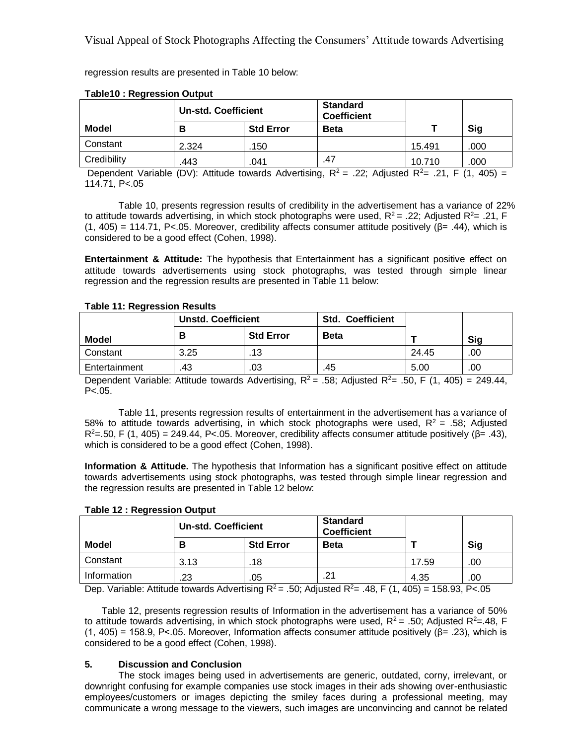regression results are presented in Table 10 below:

|             | <b>Un-std. Coefficient</b> |                  | <b>Standard</b><br><b>Coefficient</b> |        |      |  |  |
|-------------|----------------------------|------------------|---------------------------------------|--------|------|--|--|
| Model       | в                          | <b>Std Error</b> | <b>Beta</b>                           |        | Sig  |  |  |
| Constant    | 2.324                      | .150             |                                       | 15.491 | .000 |  |  |
| Credibility | .443                       | .041             | .47                                   | 10.710 | .000 |  |  |

### **Table10 : Regression Output**

Dependent Variable (DV): Attitude towards Advertising,  $R^2 = .22$ ; Adjusted  $R^2 = .21$ , F (1, 405) = 114.71, P<.05

Table 10, presents regression results of credibility in the advertisement has a variance of 22% to attitude towards advertising, in which stock photographs were used,  $R^2 = .22$ ; Adjusted  $R^2 = .21$ , F (1, 405) = 114.71, P<.05. Moreover, credibility affects consumer attitude positively ( $\beta$ = .44), which is considered to be a good effect (Cohen, 1998).

**Entertainment & Attitude:** The hypothesis that Entertainment has a significant positive effect on attitude towards advertisements using stock photographs, was tested through simple linear regression and the regression results are presented in Table 11 below:

### **Table 11: Regression Results**

|               | <b>Unstd. Coefficient</b> |                  | <b>Std. Coefficient</b> |       |     |
|---------------|---------------------------|------------------|-------------------------|-------|-----|
| Model         |                           | <b>Std Error</b> | <b>Beta</b>             |       | Sig |
| Constant      | 3.25                      | .13              |                         | 24.45 | .00 |
| Entertainment | 43                        | .03              | 45                      | 5.00  | .00 |

Dependent Variable: Attitude towards Advertising,  $R^2 = .58$ ; Adjusted  $R^2 = .50$ , F (1, 405) = 249.44,  $P < .05.$ 

Table 11, presents regression results of entertainment in the advertisement has a variance of 58% to attitude towards advertising, in which stock photographs were used,  $R^2 = .58$ ; Adjusted  $R^2 = 50$ , F (1, 405) = 249.44, P<.05. Moreover, credibility affects consumer attitude positively ( $\beta$ = .43), which is considered to be a good effect (Cohen, 1998).

**Information & Attitude.** The hypothesis that Information has a significant positive effect on attitude towards advertisements using stock photographs, was tested through simple linear regression and the regression results are presented in Table 12 below:

|              | <b>Un-std. Coefficient</b> |                  | <b>Standard</b><br><b>Coefficient</b> |       |     |
|--------------|----------------------------|------------------|---------------------------------------|-------|-----|
| <b>Model</b> |                            | <b>Std Error</b> | <b>Beta</b>                           |       | Sig |
| Constant     | 3.13                       | 18               |                                       | 17.59 | .00 |
| Information  | .23                        | .05              | .21                                   | 4.35  | .00 |

### **Table 12 : Regression Output**

Dep. Variable: Attitude towards Advertising  $R^2 = .50$ ; Adjusted  $R^2 = .48$ , F (1, 405) = 158.93, P<.05

Table 12, presents regression results of Information in the advertisement has a variance of 50% to attitude towards advertising, in which stock photographs were used,  $R^2 = .50$ ; Adjusted  $R^2 = .48$ , F (1, 405) = 158.9, P<.05. Moreover, Information affects consumer attitude positively ( $\beta$ = .23), which is considered to be a good effect (Cohen, 1998).

#### **5. Discussion and Conclusion**

The stock images being used in advertisements are generic, outdated, corny, irrelevant, or downright confusing for example companies use stock images in their ads showing over-enthusiastic employees/customers or images depicting the smiley faces during a professional meeting, may communicate a wrong message to the viewers, such images are unconvincing and cannot be related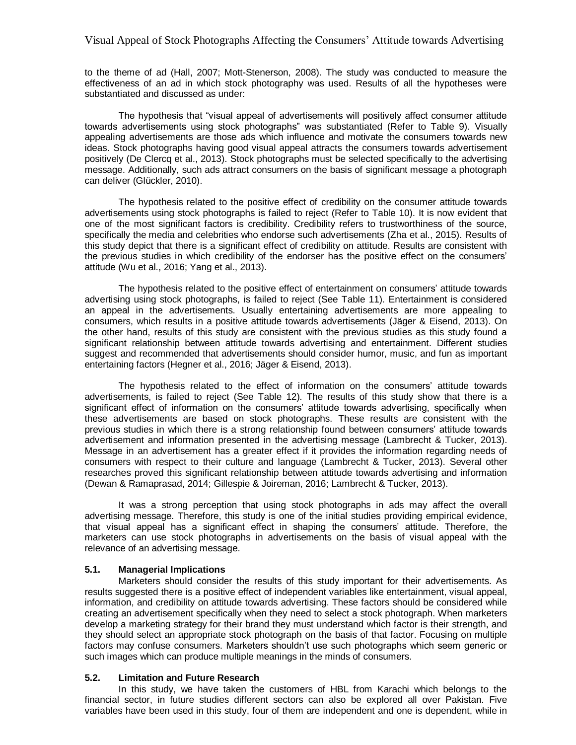to the theme of ad (Hall, 2007; Mott-Stenerson, 2008). The study was conducted to measure the effectiveness of an ad in which stock photography was used. Results of all the hypotheses were substantiated and discussed as under:

The hypothesis that "visual appeal of advertisements will positively affect consumer attitude towards advertisements using stock photographs" was substantiated (Refer to Table 9). Visually appealing advertisements are those ads which influence and motivate the consumers towards new ideas. Stock photographs having good visual appeal attracts the consumers towards advertisement positively (De Clercq et al., 2013). Stock photographs must be selected specifically to the advertising message. Additionally, such ads attract consumers on the basis of significant message a photograph can deliver (Glückler, 2010).

The hypothesis related to the positive effect of credibility on the consumer attitude towards advertisements using stock photographs is failed to reject (Refer to Table 10). It is now evident that one of the most significant factors is credibility. Credibility refers to trustworthiness of the source, specifically the media and celebrities who endorse such advertisements (Zha et al., 2015). Results of this study depict that there is a significant effect of credibility on attitude. Results are consistent with the previous studies in which credibility of the endorser has the positive effect on the consumers' attitude (Wu et al., 2016; Yang et al., 2013).

The hypothesis related to the positive effect of entertainment on consumers' attitude towards advertising using stock photographs, is failed to reject (See Table 11). Entertainment is considered an appeal in the advertisements. Usually entertaining advertisements are more appealing to consumers, which results in a positive attitude towards advertisements (Jäger & Eisend, 2013). On the other hand, results of this study are consistent with the previous studies as this study found a significant relationship between attitude towards advertising and entertainment. Different studies suggest and recommended that advertisements should consider humor, music, and fun as important entertaining factors (Hegner et al., 2016; Jäger & Eisend, 2013).

The hypothesis related to the effect of information on the consumers' attitude towards advertisements, is failed to reject (See Table 12). The results of this study show that there is a significant effect of information on the consumers' attitude towards advertising, specifically when these advertisements are based on stock photographs. These results are consistent with the previous studies in which there is a strong relationship found between consumers' attitude towards advertisement and information presented in the advertising message (Lambrecht & Tucker, 2013). Message in an advertisement has a greater effect if it provides the information regarding needs of consumers with respect to their culture and language (Lambrecht & Tucker, 2013). Several other researches proved this significant relationship between attitude towards advertising and information (Dewan & Ramaprasad, 2014; Gillespie & Joireman, 2016; Lambrecht & Tucker, 2013).

It was a strong perception that using stock photographs in ads may affect the overall advertising message. Therefore, this study is one of the initial studies providing empirical evidence, that visual appeal has a significant effect in shaping the consumers' attitude. Therefore, the marketers can use stock photographs in advertisements on the basis of visual appeal with the relevance of an advertising message.

#### **5.1. Managerial Implications**

Marketers should consider the results of this study important for their advertisements. As results suggested there is a positive effect of independent variables like entertainment, visual appeal, information, and credibility on attitude towards advertising. These factors should be considered while creating an advertisement specifically when they need to select a stock photograph. When marketers develop a marketing strategy for their brand they must understand which factor is their strength, and they should select an appropriate stock photograph on the basis of that factor. Focusing on multiple factors may confuse consumers. Marketers shouldn't use such photographs which seem generic or such images which can produce multiple meanings in the minds of consumers.

#### **5.2. Limitation and Future Research**

In this study, we have taken the customers of HBL from Karachi which belongs to the financial sector, in future studies different sectors can also be explored all over Pakistan. Five variables have been used in this study, four of them are independent and one is dependent, while in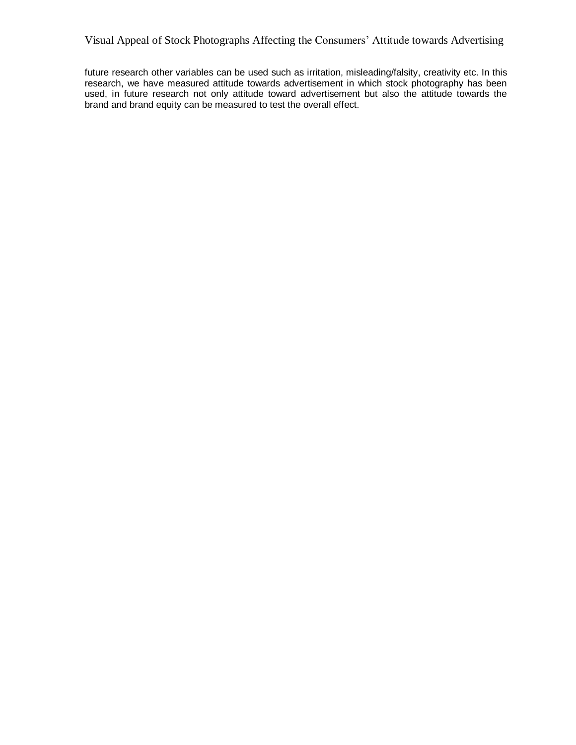future research other variables can be used such as irritation, misleading/falsity, creativity etc. In this research, we have measured attitude towards advertisement in which stock photography has been used, in future research not only attitude toward advertisement but also the attitude towards the brand and brand equity can be measured to test the overall effect.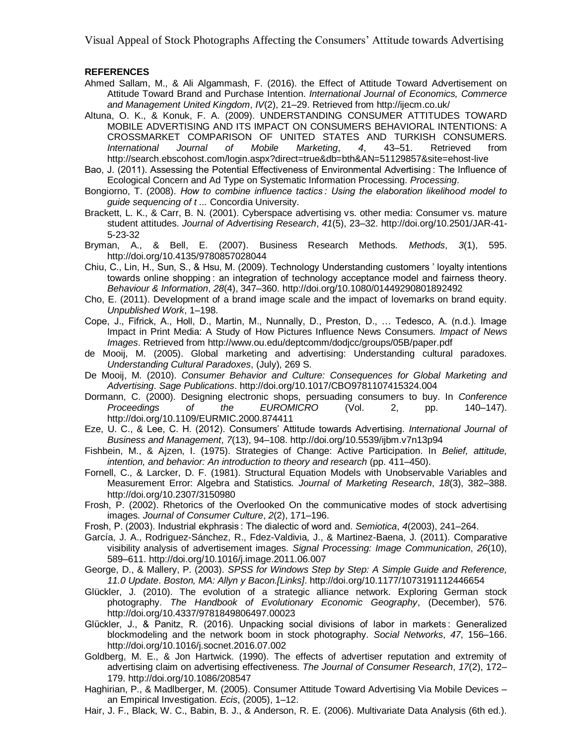### **REFERENCES**

- Ahmed Sallam, M., & Ali Algammash, F. (2016). the Effect of Attitude Toward Advertisement on Attitude Toward Brand and Purchase Intention. *International Journal of Economics, Commerce and Management United Kingdom*, *IV*(2), 21–29. Retrieved from http://ijecm.co.uk/
- Altuna, O. K., & Konuk, F. A. (2009). UNDERSTANDING CONSUMER ATTITUDES TOWARD MOBILE ADVERTISING AND ITS IMPACT ON CONSUMERS BEHAVIORAL INTENTIONS: A CROSSMARKET COMPARISON OF UNITED STATES AND TURKISH CONSUMERS. *International Journal of Mobile Marketing*, *4*, 43–51. Retrieved from http://search.ebscohost.com/login.aspx?direct=true&db=bth&AN=51129857&site=ehost-live
- Bao, J. (2011). Assessing the Potential Effectiveness of Environmental Advertising : The Influence of Ecological Concern and Ad Type on Systematic Information Processing. *Processing*.
- Bongiorno, T. (2008). *How to combine influence tactics : Using the elaboration likelihood model to guide sequencing of t ...* Concordia University.
- Brackett, L. K., & Carr, B. N. (2001). Cyberspace advertising vs. other media: Consumer vs. mature student attitudes. *Journal of Advertising Research*, *41*(5), 23–32. http://doi.org/10.2501/JAR-41- 5-23-32
- Bryman, A., & Bell, E. (2007). Business Research Methods. *Methods*, *3*(1), 595. http://doi.org/10.4135/9780857028044
- Chiu, C., Lin, H., Sun, S., & Hsu, M. (2009). Technology Understanding customers ' loyalty intentions towards online shopping : an integration of technology acceptance model and fairness theory. *Behaviour & Information*, *28*(4), 347–360. http://doi.org/10.1080/01449290801892492
- Cho, E. (2011). Development of a brand image scale and the impact of lovemarks on brand equity. *Unpublished Work*, 1–198.
- Cope, J., Fifrick, A., Holl, D., Martin, M., Nunnally, D., Preston, D., … Tedesco, A. (n.d.). Image Impact in Print Media: A Study of How Pictures Influence News Consumers. *Impact of News Images*. Retrieved from http://www.ou.edu/deptcomm/dodjcc/groups/05B/paper.pdf
- de Mooij, M. (2005). Global marketing and advertising: Understanding cultural paradoxes. *Understanding Cultural Paradoxes*, (July), 269 S.
- De Mooij, M. (2010). *Consumer Behavior and Culture: Consequences for Global Marketing and Advertising*. *Sage Publications*. http://doi.org/10.1017/CBO9781107415324.004
- Dormann, C. (2000). Designing electronic shops, persuading consumers to buy. In *Conference Proceedings of the EUROMICRO* (Vol. 2, pp. 140–147). http://doi.org/10.1109/EURMIC.2000.874411
- Eze, U. C., & Lee, C. H. (2012). Consumers' Attitude towards Advertising. *International Journal of Business and Management*, *7*(13), 94–108. http://doi.org/10.5539/ijbm.v7n13p94
- Fishbein, M., & Ajzen, I. (1975). Strategies of Change: Active Participation. In *Belief, attitude, intention, and behavior: An introduction to theory and research* (pp. 411–450).
- Fornell, C., & Larcker, D. F. (1981). Structural Equation Models with Unobservable Variables and Measurement Error: Algebra and Statistics. *Journal of Marketing Research*, *18*(3), 382–388. http://doi.org/10.2307/3150980
- Frosh, P. (2002). Rhetorics of the Overlooked On the communicative modes of stock advertising images. *Journal of Consumer Culture*, *2*(2), 171–196.
- Frosh, P. (2003). Industrial ekphrasis : The dialectic of word and. *Semiotica*, *4*(2003), 241–264.
- García, J. A., Rodriguez-Sánchez, R., Fdez-Valdivia, J., & Martinez-Baena, J. (2011). Comparative visibility analysis of advertisement images. *Signal Processing: Image Communication*, *26*(10), 589–611. http://doi.org/10.1016/j.image.2011.06.007
- George, D., & Mallery, P. (2003). *SPSS for Windows Step by Step: A Simple Guide and Reference, 11.0 Update*. *Boston, MA: Allyn y Bacon.[Links]*. http://doi.org/10.1177/1073191112446654
- Glückler, J. (2010). The evolution of a strategic alliance network. Exploring German stock photography. *The Handbook of Evolutionary Economic Geography*, (December), 576. http://doi.org/10.4337/9781849806497.00023
- Glückler, J., & Panitz, R. (2016). Unpacking social divisions of labor in markets : Generalized blockmodeling and the network boom in stock photography. *Social Networks*, *47*, 156–166. http://doi.org/10.1016/j.socnet.2016.07.002
- Goldberg, M. E., & Jon Hartwick. (1990). The effects of advertiser reputation and extremity of advertising claim on advertising effectiveness. *The Journal of Consumer Research*, *17*(2), 172– 179. http://doi.org/10.1086/208547
- Haghirian, P., & Madlberger, M. (2005). Consumer Attitude Toward Advertising Via Mobile Devices an Empirical Investigation. *Ecis*, (2005), 1–12.
- Hair, J. F., Black, W. C., Babin, B. J., & Anderson, R. E. (2006). Multivariate Data Analysis (6th ed.).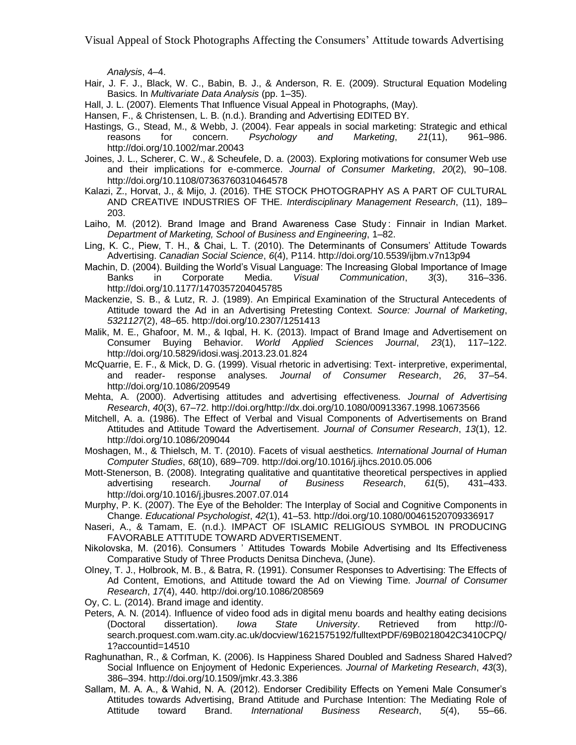*Analysis*, 4–4.

- Hair, J. F. J., Black, W. C., Babin, B. J., & Anderson, R. E. (2009). Structural Equation Modeling Basics. In *Multivariate Data Analysis* (pp. 1–35).
- Hall, J. L. (2007). Elements That Influence Visual Appeal in Photographs, (May).

Hansen, F., & Christensen, L. B. (n.d.). Branding and Advertising EDITED BY.

- Hastings, G., Stead, M., & Webb, J. (2004). Fear appeals in social marketing: Strategic and ethical reasons for concern. *Psychology and Marketing*, *21*(11), 961–986. http://doi.org/10.1002/mar.20043
- Joines, J. L., Scherer, C. W., & Scheufele, D. a. (2003). Exploring motivations for consumer Web use and their implications for e-commerce. *Journal of Consumer Marketing*, *20*(2), 90–108. http://doi.org/10.1108/07363760310464578
- Kalazi, Z., Horvat, J., & Mijo, J. (2016). THE STOCK PHOTOGRAPHY AS A PART OF CULTURAL AND CREATIVE INDUSTRIES OF THE. *Interdisciplinary Management Research*, (11), 189– 203.
- Laiho, M. (2012). Brand Image and Brand Awareness Case Study : Finnair in Indian Market. *Department of Marketing, School of Business and Engineering*, 1–82.
- Ling, K. C., Piew, T. H., & Chai, L. T. (2010). The Determinants of Consumers' Attitude Towards Advertising. *Canadian Social Science*, *6*(4), P114. http://doi.org/10.5539/ijbm.v7n13p94
- Machin, D. (2004). Building the World's Visual Language: The Increasing Global Importance of Image Banks in Corporate Media. *Visual Communication*, *3*(3), 316–336. http://doi.org/10.1177/1470357204045785
- Mackenzie, S. B., & Lutz, R. J. (1989). An Empirical Examination of the Structural Antecedents of Attitude toward the Ad in an Advertising Pretesting Context. *Source: Journal of Marketing*, *5321127*(2), 48–65. http://doi.org/10.2307/1251413
- Malik, M. E., Ghafoor, M. M., & Iqbal, H. K. (2013). Impact of Brand Image and Advertisement on Consumer Buying Behavior. *World Applied Sciences Journal*, *23*(1), 117–122. http://doi.org/10.5829/idosi.wasj.2013.23.01.824
- McQuarrie, E. F., & Mick, D. G. (1999). Visual rhetoric in advertising: Text‐ interpretive, experimental, and reader‐ response analyses. *Journal of Consumer Research*, *26*, 37–54. http://doi.org/10.1086/209549
- Mehta, A. (2000). Advertising attitudes and advertising effectiveness. *Journal of Advertising Research*, *40*(3), 67–72. http://doi.org/http://dx.doi.org/10.1080/00913367.1998.10673566
- Mitchell, A. a. (1986). The Effect of Verbal and Visual Components of Advertisements on Brand Attitudes and Attitude Toward the Advertisement. *Journal of Consumer Research*, *13*(1), 12. http://doi.org/10.1086/209044
- Moshagen, M., & Thielsch, M. T. (2010). Facets of visual aesthetics. *International Journal of Human Computer Studies*, *68*(10), 689–709. http://doi.org/10.1016/j.ijhcs.2010.05.006
- Mott-Stenerson, B. (2008). Integrating qualitative and quantitative theoretical perspectives in applied advertising research. *Journal of Business Research*, *61*(5), 431–433. http://doi.org/10.1016/j.jbusres.2007.07.014
- Murphy, P. K. (2007). The Eye of the Beholder: The Interplay of Social and Cognitive Components in Change. *Educational Psychologist*, *42*(1), 41–53. http://doi.org/10.1080/00461520709336917
- Naseri, A., & Tamam, E. (n.d.). IMPACT OF ISLAMIC RELIGIOUS SYMBOL IN PRODUCING FAVORABLE ATTITUDE TOWARD ADVERTISEMENT.
- Nikolovska, M. (2016). Consumers ' Attitudes Towards Mobile Advertising and Its Effectiveness Comparative Study of Three Products Denitsa Dincheva, (June).
- Olney, T. J., Holbrook, M. B., & Batra, R. (1991). Consumer Responses to Advertising: The Effects of Ad Content, Emotions, and Attitude toward the Ad on Viewing Time. *Journal of Consumer Research*, *17*(4), 440. http://doi.org/10.1086/208569
- Oy, C. L. (2014). Brand image and identity.
- Peters, A. N. (2014). Influence of video food ads in digital menu boards and healthy eating decisions (Doctoral dissertation). *Iowa State University*. Retrieved from http://0 search.proquest.com.wam.city.ac.uk/docview/1621575192/fulltextPDF/69B0218042C3410CPQ/ 1?accountid=14510
- Raghunathan, R., & Corfman, K. (2006). Is Happiness Shared Doubled and Sadness Shared Halved? Social Influence on Enjoyment of Hedonic Experiences. *Journal of Marketing Research*, *43*(3), 386–394. http://doi.org/10.1509/jmkr.43.3.386
- Sallam, M. A. A., & Wahid, N. A. (2012). Endorser Credibility Effects on Yemeni Male Consumer's Attitudes towards Advertising, Brand Attitude and Purchase Intention: The Mediating Role of Attitude toward Brand. *International Business Research*, *5*(4), 55–66.